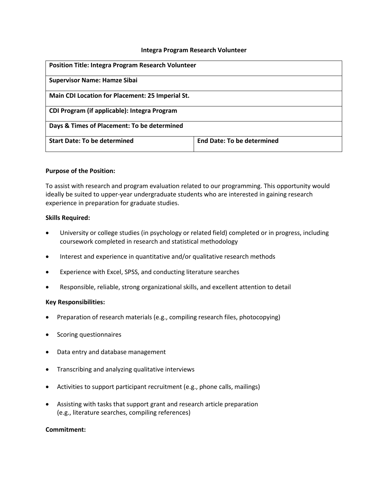#### **Integra Program Research Volunteer**

| <b>Position Title: Integra Program Research Volunteer</b> |                                   |
|-----------------------------------------------------------|-----------------------------------|
| <b>Supervisor Name: Hamze Sibai</b>                       |                                   |
| Main CDI Location for Placement: 25 Imperial St.          |                                   |
| CDI Program (if applicable): Integra Program              |                                   |
| Days & Times of Placement: To be determined               |                                   |
| <b>Start Date: To be determined</b>                       | <b>End Date: To be determined</b> |

### **Purpose of the Position:**

To assist with research and program evaluation related to our programming. This opportunity would ideally be suited to upper-year undergraduate students who are interested in gaining research experience in preparation for graduate studies.

### **Skills Required:**

- University or college studies (in psychology or related field) completed or in progress, including coursework completed in research and statistical methodology
- Interest and experience in quantitative and/or qualitative research methods
- Experience with Excel, SPSS, and conducting literature searches
- Responsible, reliable, strong organizational skills, and excellent attention to detail

#### **Key Responsibilities:**

- Preparation of research materials (e.g., compiling research files, photocopying)
- Scoring questionnaires
- Data entry and database management
- Transcribing and analyzing qualitative interviews
- Activities to support participant recruitment (e.g., phone calls, mailings)
- Assisting with tasks that support grant and research article preparation (e.g., literature searches, compiling references)

#### **Commitment:**